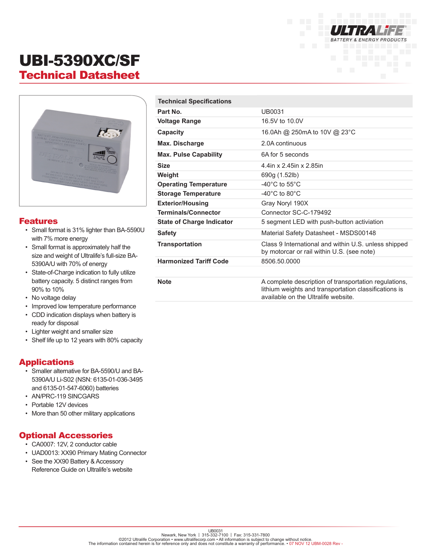

# UBI-5390XC/SF Technical Datasheet



#### Features

- Small format is 31% lighter than BA-5590U with 7% more energy
- Small format is approximately half the size and weight of Ultralife's full-size BA-5390A/U with 70% of energy
- State-of-Charge indication to fully utilize battery capacity. 5 distinct ranges from 90% to 10%
- No voltage delay
- Improved low temperature performance
- CDD indication displays when battery is ready for disposal
- Lighter weight and smaller size
- Shelf life up to 12 years with 80% capacity

### Applications

- Smaller alternative for BA-5590/U and BA-5390A/U Li-S02 (NSN: 6135-01-036-3495 and 6135-01-547-6060) batteries
- AN/PRC-119 SINCGARS
- Portable 12V devices
- More than 50 other military applications

### Optional Accessories

- CA0007: 12V, 2 conductor cable
- UAD0013: XX90 Primary Mating Connector
- See the XX90 Battery & Accessory Reference Guide on Ultralife's website

| <b>Technical Specifications</b>  |                                                                                                                                                       |
|----------------------------------|-------------------------------------------------------------------------------------------------------------------------------------------------------|
| Part No.                         | UB0031                                                                                                                                                |
| <b>Voltage Range</b>             | 16.5V to 10.0V                                                                                                                                        |
| Capacity                         | 16.0Ah @ 250mA to 10V @ 23°C                                                                                                                          |
| Max. Discharge                   | 2.0A continuous                                                                                                                                       |
| <b>Max. Pulse Capability</b>     | 6A for 5 seconds                                                                                                                                      |
| <b>Size</b>                      | 4.4in x 2.45in x 2.85in                                                                                                                               |
| Weight                           | 690g (1.52lb)                                                                                                                                         |
| <b>Operating Temperature</b>     | -40 $^{\circ}$ C to 55 $^{\circ}$ C                                                                                                                   |
| <b>Storage Temperature</b>       | $-40^{\circ}$ C to 80 $^{\circ}$ C                                                                                                                    |
| <b>Exterior/Housing</b>          | Gray Noryl 190X                                                                                                                                       |
| <b>Terminals/Connector</b>       | Connector SC-C-179492                                                                                                                                 |
| <b>State of Charge Indicator</b> | 5 segment LED with push-button activiation                                                                                                            |
| <b>Safety</b>                    | Material Safety Datasheet - MSDS00148                                                                                                                 |
| <b>Transportation</b>            | Class 9 International and within U.S. unless shipped<br>by motorcar or rail within U.S. (see note)                                                    |
| <b>Harmonized Tariff Code</b>    | 8506.50.0000                                                                                                                                          |
|                                  |                                                                                                                                                       |
| <b>Note</b>                      | A complete description of transportation regulations,<br>lithium weights and transportation classifications is<br>available on the Ultralife website. |